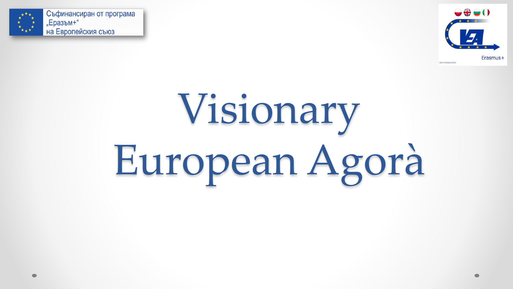



# Visionary European Agorà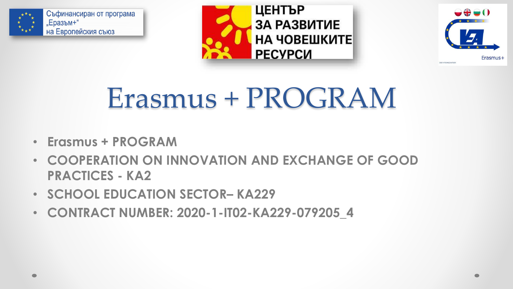





#### Erasmus + PROGRAM

- **Erasmus + PROGRAM**
- **COOPERATION ON INNOVATION AND EXCHANGE OF GOOD PRACTICES - KA2**
- **SCHOOL EDUCATION SECTOR– КА229**
- **CONTRACT NUMBER: 2020-1-IT02-KA229-079205\_4**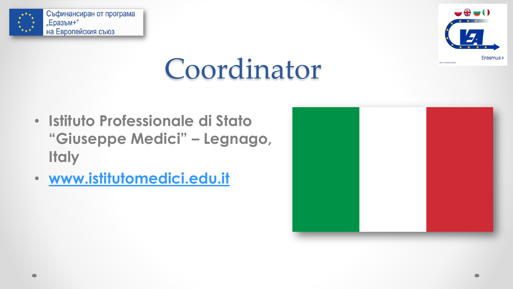



# Coordinator

- **Istituto Professionale di Stato "Giuseppe Medici" – Legnago, Italy**
- **[www.istitutomedici.edu.it](http://www.istitutomedici.edu.it/)**

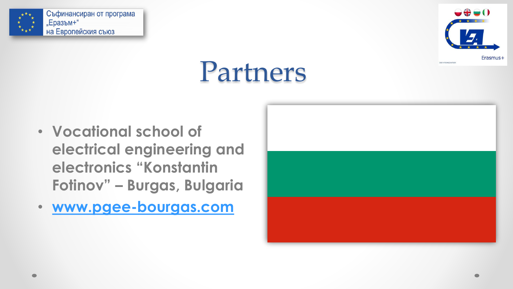



### Partners

- **Vocational school of electrical engineering and electronics "Konstantin Fotinov" – Burgas, Bulgaria**
- **[www.pgee-bourgas.com](http://www.pgee-bourgas.com/)**

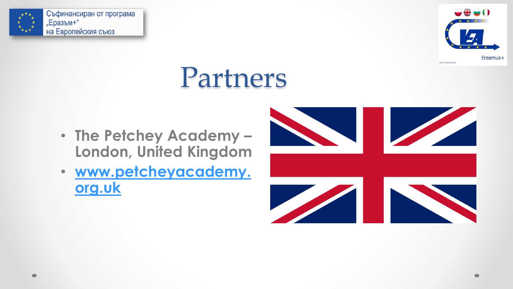



### Partners

- **The Petchey Academy – London, United Kingdom**
- **[www.petcheyacademy.](http://www.petcheyacademy.org.uk/) org.uk**

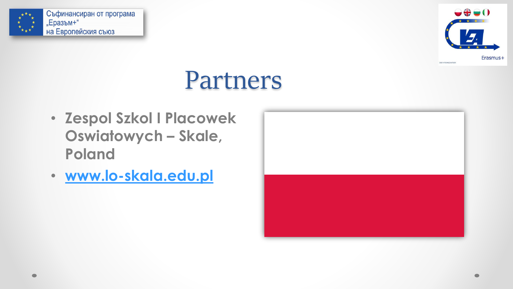



#### Partners

- **Zespol Szkol I Placowek Oswiatowych – Skale, Poland**
- **[www.lo-skala.edu.pl](http://www.lo-skala.edu.pl/)**

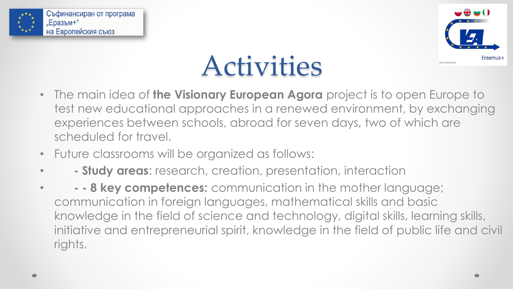



# Activities

- The main idea of **the Visionary European Agora** project is to open Europe to test new educational approaches in a renewed environment, by exchanging experiences between schools, abroad for seven days, two of which are scheduled for travel.
- Future classrooms will be organized as follows:
- **- Study areas**: research, creation, presentation, interaction
- **- - 8 key competences:** communication in the mother language; communication in foreign languages, mathematical skills and basic knowledge in the field of science and technology, digital skills, learning skills, initiative and entrepreneurial spirit, knowledge in the field of public life and civil rights.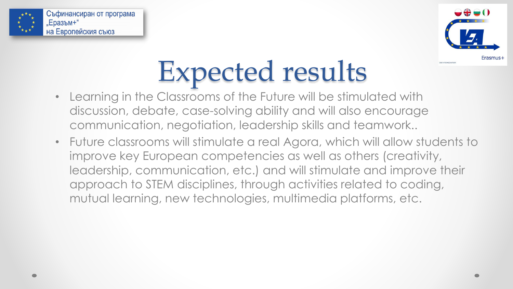



# Expected results

- Learning in the Classrooms of the Future will be stimulated with discussion, debate, case-solving ability and will also encourage communication, negotiation, leadership skills and teamwork..
- Future classrooms will stimulate a real Agora, which will allow students to improve key European competencies as well as others (creativity, leadership, communication, etc.) and will stimulate and improve their approach to STEM disciplines, through activities related to coding, mutual learning, new technologies, multimedia platforms, etc.